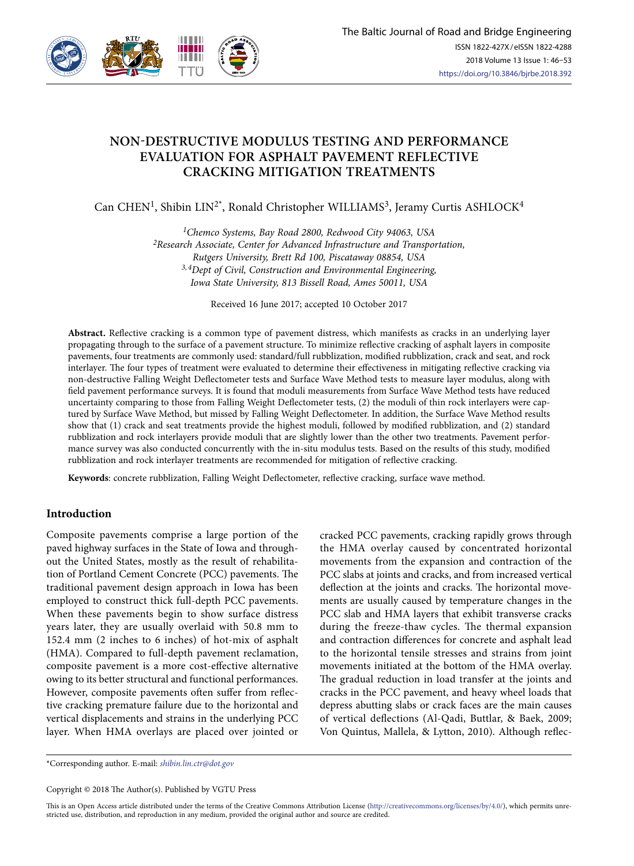

# **NON-DESTRUCTIVE MODULUS TESTING AND PERFORMANCE EVALUATION FOR ASPHALT PAVEMENT REFLECTIVE CRACKING MITIGATION TREATMENTS**

Can CHEN<sup>1</sup>, Shibin LIN<sup>2\*</sup>, Ronald Christopher WILLIAMS<sup>3</sup>, Jeramy Curtis ASHLOCK<sup>4</sup>

*1Chemco Systems, Bay Road 2800, Redwood City 94063, USA 2Research Associate, Center for Advanced Infrastructure and Transportation, Rutgers University, Brett Rd 100, Piscataway 08854, USA 3, 4Dept of Civil, Construction and Environmental Engineering, Iowa State University, 813 Bissell Road, Ames 50011, USA*

Received 16 June 2017; accepted 10 October 2017

**Abstract.** Reflective cracking is a common type of pavement distress, which manifests as cracks in an underlying layer propagating through to the surface of a pavement structure. To minimize reflective cracking of asphalt layers in composite pavements, four treatments are commonly used: standard/full rubblization, modified rubblization, crack and seat, and rock interlayer. The four types of treatment were evaluated to determine their effectiveness in mitigating reflective cracking via non-destructive Falling Weight Deflectometer tests and Surface Wave Method tests to measure layer modulus, along with field pavement performance surveys. It is found that moduli measurements from Surface Wave Method tests have reduced uncertainty comparing to those from Falling Weight Deflectometer tests, (2) the moduli of thin rock interlayers were captured by Surface Wave Method, but missed by Falling Weight Deflectometer. In addition, the Surface Wave Method results show that (1) crack and seat treatments provide the highest moduli, followed by modified rubblization, and (2) standard rubblization and rock interlayers provide moduli that are slightly lower than the other two treatments. Pavement performance survey was also conducted concurrently with the in-situ modulus tests. Based on the results of this study, modified rubblization and rock interlayer treatments are recommended for mitigation of reflective cracking.

**Keywords**: concrete rubblization, Falling Weight Deflectometer, reflective cracking, surface wave method.

## **Introduction**

Composite pavements comprise a large portion of the paved highway surfaces in the State of Iowa and throughout the United States, mostly as the result of rehabilitation of Portland Cement Concrete (PCC) pavements. The traditional pavement design approach in Iowa has been employed to construct thick full-depth PCC pavements. When these pavements begin to show surface distress years later, they are usually overlaid with 50.8 mm to 152.4 mm (2 inches to 6 inches) of hot-mix of asphalt (HMA). Compared to full-depth pavement reclamation, composite pavement is a more cost-effective alternative owing to its better structural and functional performances. However, composite pavements often suffer from reflective cracking premature failure due to the horizontal and vertical displacements and strains in the underlying PCC layer. When HMA overlays are placed over jointed or

cracked PCC pavements, cracking rapidly grows through the HMA overlay caused by concentrated horizontal movements from the expansion and contraction of the PCC slabs at joints and cracks, and from increased vertical deflection at the joints and cracks. The horizontal movements are usually caused by temperature changes in the PCC slab and HMA layers that exhibit transverse cracks during the freeze-thaw cycles. The thermal expansion and contraction differences for concrete and asphalt lead to the horizontal tensile stresses and strains from joint movements initiated at the bottom of the HMA overlay. The gradual reduction in load transfer at the joints and cracks in the PCC pavement, and heavy wheel loads that depress abutting slabs or crack faces are the main causes of vertical deflections (Al-Qadi, Buttlar, & Baek, 2009; Von Quintus, Mallela, & Lytton, 2010). Although reflec-

\*Corresponding author. E-mail: *shibin.lin.ctr@dot.gov*

Copyright © 2018 The Author(s). Published by VGTU Press

This is an Open Access article distributed under the terms of the Creative Commons Attribution License (http://creativecommons.org/licenses/by/4.0/), which permits unrestricted use, distribution, and reproduction in any medium, provided the original author and source are credited.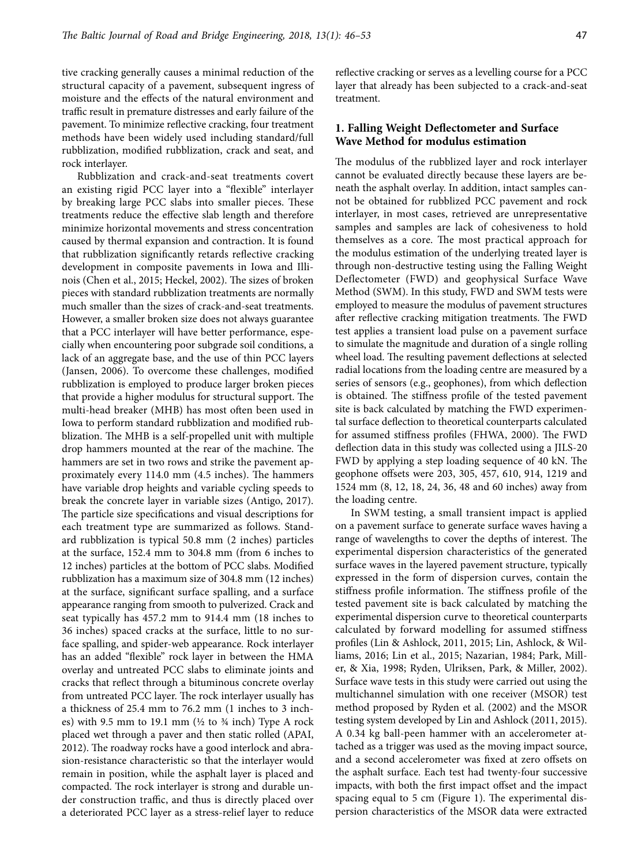tive cracking generally causes a minimal reduction of the structural capacity of a pavement, subsequent ingress of moisture and the effects of the natural environment and traffic result in premature distresses and early failure of the pavement. To minimize reflective cracking, four treatment methods have been widely used including standard/full rubblization, modified rubblization, crack and seat, and rock interlayer.

Rubblization and crack-and-seat treatments covert an existing rigid PCC layer into a "flexible" interlayer by breaking large PCC slabs into smaller pieces. These treatments reduce the effective slab length and therefore minimize horizontal movements and stress concentration caused by thermal expansion and contraction. It is found that rubblization significantly retards reflective cracking development in composite pavements in Iowa and Illinois (Chen et al., 2015; Heckel, 2002). The sizes of broken pieces with standard rubblization treatments are normally much smaller than the sizes of crack-and-seat treatments. However, a smaller broken size does not always guarantee that a PCC interlayer will have better performance, especially when encountering poor subgrade soil conditions, a lack of an aggregate base, and the use of thin PCC layers (Jansen, 2006). To overcome these challenges, modified rubblization is employed to produce larger broken pieces that provide a higher modulus for structural support. The multi-head breaker (MHB) has most often been used in Iowa to perform standard rubblization and modified rubblization. The MHB is a self-propelled unit with multiple drop hammers mounted at the rear of the machine. The hammers are set in two rows and strike the pavement approximately every 114.0 mm (4.5 inches). The hammers have variable drop heights and variable cycling speeds to break the concrete layer in variable sizes (Antigo, 2017). The particle size specifications and visual descriptions for each treatment type are summarized as follows. Standard rubblization is typical 50.8 mm (2 inches) particles at the surface, 152.4 mm to 304.8 mm (from 6 inches to 12 inches) particles at the bottom of PCC slabs. Modified rubblization has a maximum size of 304.8 mm (12 inches) at the surface, significant surface spalling, and a surface appearance ranging from smooth to pulverized. Crack and seat typically has 457.2 mm to 914.4 mm (18 inches to 36 inches) spaced cracks at the surface, little to no surface spalling, and spider-web appearance. Rock interlayer has an added "flexible" rock layer in between the HMA overlay and untreated PCC slabs to eliminate joints and cracks that reflect through a bituminous concrete overlay from untreated PCC layer. The rock interlayer usually has a thickness of 25.4 mm to 76.2 mm (1 inches to 3 inches) with 9.5 mm to 19.1 mm ( $\frac{1}{2}$  to  $\frac{3}{4}$  inch) Type A rock placed wet through a paver and then static rolled (APAI, 2012). The roadway rocks have a good interlock and abrasion-resistance characteristic so that the interlayer would remain in position, while the asphalt layer is placed and compacted. The rock interlayer is strong and durable under construction traffic, and thus is directly placed over a deteriorated PCC layer as a stress-relief layer to reduce reflective cracking or serves as a levelling course for a PCC layer that already has been subjected to a crack-and-seat treatment.

## **1. Falling Weight Deflectometer and Surface Wave Method for modulus estimation**

The modulus of the rubblized layer and rock interlayer cannot be evaluated directly because these layers are beneath the asphalt overlay. In addition, intact samples cannot be obtained for rubblized PCC pavement and rock interlayer, in most cases, retrieved are unrepresentative samples and samples are lack of cohesiveness to hold themselves as a core. The most practical approach for the modulus estimation of the underlying treated layer is through non-destructive testing using the Falling Weight Deflectometer (FWD) and geophysical Surface Wave Method (SWM). In this study, FWD and SWM tests were employed to measure the modulus of pavement structures after reflective cracking mitigation treatments. The FWD test applies a transient load pulse on a pavement surface to simulate the magnitude and duration of a single rolling wheel load. The resulting pavement deflections at selected radial locations from the loading centre are measured by a series of sensors (e.g., geophones), from which deflection is obtained. The stiffness profile of the tested pavement site is back calculated by matching the FWD experimental surface deflection to theoretical counterparts calculated for assumed stiffness profiles (FHWA, 2000). The FWD deflection data in this study was collected using a JILS-20 FWD by applying a step loading sequence of 40 kN. The geophone offsets were 203, 305, 457, 610, 914, 1219 and 1524 mm (8, 12, 18, 24, 36, 48 and 60 inches) away from the loading centre.

In SWM testing, a small transient impact is applied on a pavement surface to generate surface waves having a range of wavelengths to cover the depths of interest. The experimental dispersion characteristics of the generated surface waves in the layered pavement structure, typically expressed in the form of dispersion curves, contain the stiffness profile information. The stiffness profile of the tested pavement site is back calculated by matching the experimental dispersion curve to theoretical counterparts calculated by forward modelling for assumed stiffness profiles (Lin & Ashlock, 2011, 2015; Lin, Ashlock, & Williams, 2016; Lin et al., 2015; Nazarian, 1984; Park, Miller, & Xia, 1998; Ryden, Ulriksen, Park, & Miller, 2002). Surface wave tests in this study were carried out using the multichannel simulation with one receiver (MSOR) test method proposed by Ryden et al. (2002) and the MSOR testing system developed by Lin and Ashlock (2011, 2015). A 0.34 kg ball-peen hammer with an accelerometer attached as a trigger was used as the moving impact source, and a second accelerometer was fixed at zero offsets on the asphalt surface. Each test had twenty-four successive impacts, with both the first impact offset and the impact spacing equal to 5 cm (Figure 1). The experimental dispersion characteristics of the MSOR data were extracted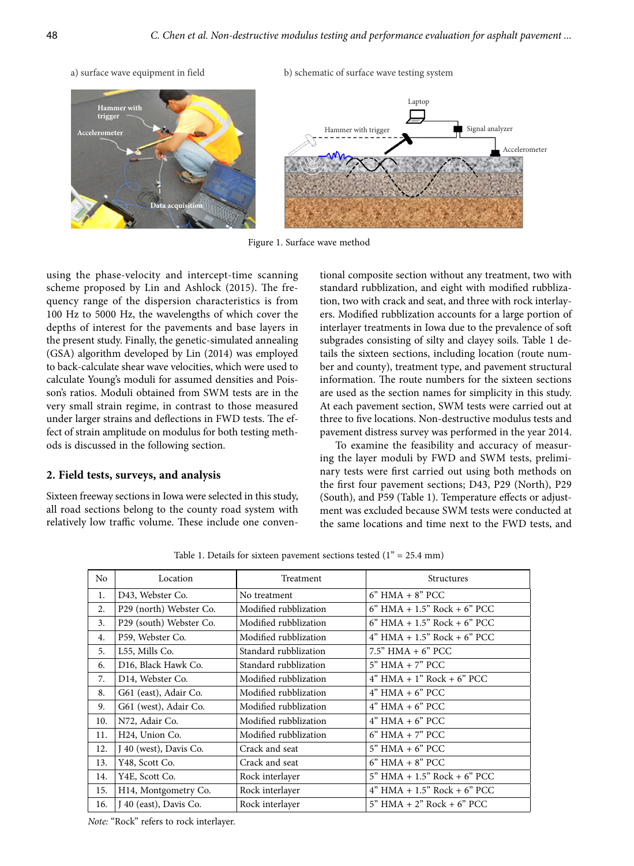

Figure 1. Surface wave method

using the phase-velocity and intercept-time scanning scheme proposed by Lin and Ashlock (2015). The frequency range of the dispersion characteristics is from 100 Hz to 5000 Hz, the wavelengths of which cover the depths of interest for the pavements and base layers in the present study. Finally, the genetic-simulated annealing (GSA) algorithm developed by Lin (2014) was employed to back-calculate shear wave velocities, which were used to calculate Young's moduli for assumed densities and Poisson's ratios. Moduli obtained from SWM tests are in the very small strain regime, in contrast to those measured under larger strains and deflections in FWD tests. The effect of strain amplitude on modulus for both testing methods is discussed in the following section.

**Data acquisition**

#### **2. Field tests, surveys, and analysis**

Sixteen freeway sections in Iowa were selected in this study, all road sections belong to the county road system with relatively low traffic volume. These include one conventional composite section without any treatment, two with standard rubblization, and eight with modified rubblization, two with crack and seat, and three with rock interlayers. Modified rubblization accounts for a large portion of interlayer treatments in Iowa due to the prevalence of soft subgrades consisting of silty and clayey soils. Table 1 details the sixteen sections, including location (route number and county), treatment type, and pavement structural information. The route numbers for the sixteen sections are used as the section names for simplicity in this study. At each pavement section, SWM tests were carried out at three to five locations. Non-destructive modulus tests and pavement distress survey was performed in the year 2014.

Accelerometer

To examine the feasibility and accuracy of measuring the layer moduli by FWD and SWM tests, preliminary tests were first carried out using both methods on the first four pavement sections; D43, P29 (North), P29 (South), and P59 (Table 1). Temperature effects or adjustment was excluded because SWM tests were conducted at the same locations and time next to the FWD tests, and

Table 1. Details for sixteen pavement sections tested  $(1<sup>n</sup> = 25.4$  mm)

| N <sub>o</sub> | Location                    | Treatment             | Structures                      |
|----------------|-----------------------------|-----------------------|---------------------------------|
| 1.             | D43, Webster Co.            | No treatment          | $6"$ HMA $+ 8"$ PCC             |
| 2.             | P29 (north) Webster Co.     | Modified rubblization | $6"$ HMA + 1.5" Rock + $6"$ PCC |
| 3.             | P29 (south) Webster Co.     | Modified rubblization | $6"$ HMA + 1.5" Rock + $6"$ PCC |
| 4.             | P59, Webster Co.            | Modified rubblization | $4"$ HMA + 1.5" Rock + 6" PCC   |
| 5.             | L55, Mills Co.              | Standard rubblization | $7.5"$ HMA $+$ 6" PCC           |
| 6.             | D16, Black Hawk Co.         | Standard rubblization | $5"$ HMA $+ 7"$ PCC             |
| 7.             | D14, Webster Co.            | Modified rubblization | $4"$ HMA + 1" Rock + 6" PCC     |
| 8.             | G61 (east), Adair Co.       | Modified rubblization | $4"$ HMA $+ 6"$ PCC             |
| 9.             | G61 (west), Adair Co.       | Modified rubblization | $4"$ HMA $+ 6"$ PCC             |
| 10.            | N72, Adair Co.              | Modified rubblization | $4"$ HMA $+6"$ PCC              |
| 11.            | H <sub>24</sub> , Union Co. | Modified rubblization | $6"$ HMA $+ 7"$ PCC             |
| 12.            | J 40 (west), Davis Co.      | Crack and seat        | $5"$ HMA $+ 6"$ PCC             |
| 13.            | Y48, Scott Co.              | Crack and seat        | $6"$ HMA $+ 8"$ PCC             |
| 14.            | Y4E, Scott Co.              | Rock interlayer       | $5"$ HMA + 1.5" Rock + 6" PCC   |
| 15.            | H14, Montgometry Co.        | Rock interlayer       | $4"$ HMA + 1.5" Rock + 6" PCC   |
| 16.            | J 40 (east), Davis Co.      | Rock interlayer       | $5"$ HMA + 2" Rock + 6" PCC     |

*Note:* "Rock" refers to rock interlayer.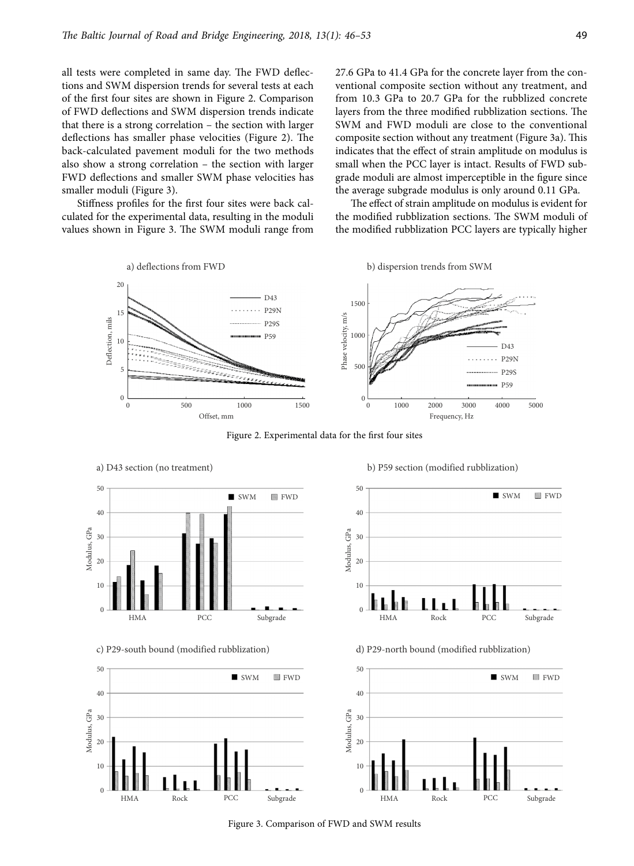all tests were completed in same day. The FWD deflections and SWM dispersion trends for several tests at each of the first four sites are shown in Figure 2. Comparison of FWD deflections and SWM dispersion trends indicate that there is a strong correlation – the section with larger deflections has smaller phase velocities (Figure 2). The back-calculated pavement moduli for the two methods also show a strong correlation – the section with larger FWD deflections and smaller SWM phase velocities has smaller moduli (Figure 3).

Stiffness profiles for the first four sites were back calculated for the experimental data, resulting in the moduli values shown in Figure 3. The SWM moduli range from

27.6 GPa to 41.4 GPa for the concrete layer from the conventional composite section without any treatment, and from 10.3 GPa to 20.7 GPa for the rubblized concrete layers from the three modified rubblization sections. The SWM and FWD moduli are close to the conventional composite section without any treatment (Figure 3a). This indicates that the effect of strain amplitude on modulus is small when the PCC layer is intact. Results of FWD subgrade moduli are almost imperceptible in the figure since the average subgrade modulus is only around 0.11 GPa.

The effect of strain amplitude on modulus is evident for the modified rubblization sections. The SWM moduli of the modified rubblization PCC layers are typically higher



Figure 2. Experimental data for the first four sites



c) P29-south bound (modified rubblization)



a) D43 section (no treatment) b) P59 section (modified rubblization)



d) P29-north bound (modified rubblization)



Figure 3. Comparison of FWD and SWM results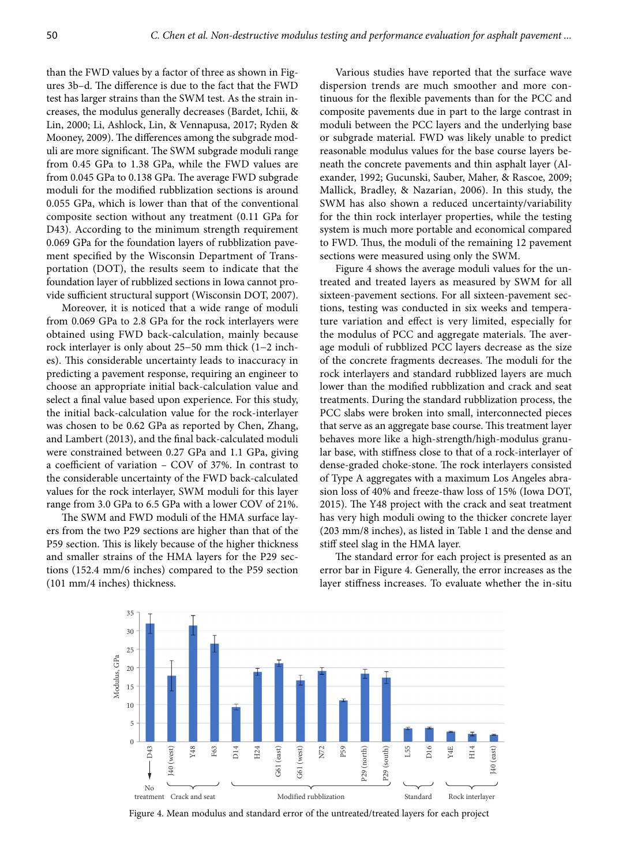than the FWD values by a factor of three as shown in Figures 3b–d. The difference is due to the fact that the FWD test has larger strains than the SWM test. As the strain increases, the modulus generally decreases (Bardet, Ichii, & Lin, 2000; Li, Ashlock, Lin, & Vennapusa, 2017; Ryden & Mooney, 2009). The differences among the subgrade moduli are more significant. The SWM subgrade moduli range from 0.45 GPa to 1.38 GPa, while the FWD values are from 0.045 GPa to 0.138 GPa. The average FWD subgrade moduli for the modified rubblization sections is around 0.055 GPa, which is lower than that of the conventional composite section without any treatment (0.11 GPa for D43). According to the minimum strength requirement 0.069 GPa for the foundation layers of rubblization pavement specified by the Wisconsin Department of Transportation (DOT), the results seem to indicate that the foundation layer of rubblized sections in Iowa cannot provide sufficient structural support (Wisconsin DOT, 2007).

Moreover, it is noticed that a wide range of moduli from 0.069 GPa to 2.8 GPa for the rock interlayers were obtained using FWD back-calculation, mainly because rock interlayer is only about 25−50 mm thick (1−2 inches). This considerable uncertainty leads to inaccuracy in predicting a pavement response, requiring an engineer to choose an appropriate initial back-calculation value and select a final value based upon experience. For this study, the initial back-calculation value for the rock-interlayer was chosen to be 0.62 GPa as reported by Chen, Zhang, and Lambert (2013), and the final back-calculated moduli were constrained between 0.27 GPa and 1.1 GPa, giving a coefficient of variation – COV of 37%. In contrast to the considerable uncertainty of the FWD back-calculated values for the rock interlayer, SWM moduli for this layer range from 3.0 GPa to 6.5 GPa with a lower COV of 21%.

The SWM and FWD moduli of the HMA surface layers from the two P29 sections are higher than that of the P59 section. This is likely because of the higher thickness and smaller strains of the HMA layers for the P29 sections (152.4 mm/6 inches) compared to the P59 section (101 mm/4 inches) thickness.

Various studies have reported that the surface wave dispersion trends are much smoother and more continuous for the flexible pavements than for the PCC and composite pavements due in part to the large contrast in moduli between the PCC layers and the underlying base or subgrade material. FWD was likely unable to predict reasonable modulus values for the base course layers beneath the concrete pavements and thin asphalt layer (Alexander, 1992; Gucunski, Sauber, Maher, & Rascoe, 2009; Mallick, Bradley, & Nazarian, 2006). In this study, the SWM has also shown a reduced uncertainty/variability for the thin rock interlayer properties, while the testing system is much more portable and economical compared to FWD. Thus, the moduli of the remaining 12 pavement sections were measured using only the SWM.

Figure 4 shows the average moduli values for the untreated and treated layers as measured by SWM for all sixteen-pavement sections. For all sixteen-pavement sections, testing was conducted in six weeks and temperature variation and effect is very limited, especially for the modulus of PCC and aggregate materials. The average moduli of rubblized PCC layers decrease as the size of the concrete fragments decreases. The moduli for the rock interlayers and standard rubblized layers are much lower than the modified rubblization and crack and seat treatments. During the standard rubblization process, the PCC slabs were broken into small, interconnected pieces that serve as an aggregate base course. This treatment layer behaves more like a high-strength/high-modulus granular base, with stiffness close to that of a rock-interlayer of dense-graded choke-stone. The rock interlayers consisted of Type A aggregates with a maximum Los Angeles abrasion loss of 40% and freeze-thaw loss of 15% (Iowa DOT, 2015). The Y48 project with the crack and seat treatment has very high moduli owing to the thicker concrete layer (203 mm/8 inches), as listed in Table 1 and the dense and stiff steel slag in the HMA layer.

The standard error for each project is presented as an error bar in Figure 4. Generally, the error increases as the layer stiffness increases. To evaluate whether the in-situ



Figure 4. Mean modulus and standard error of the untreated/treated layers for each project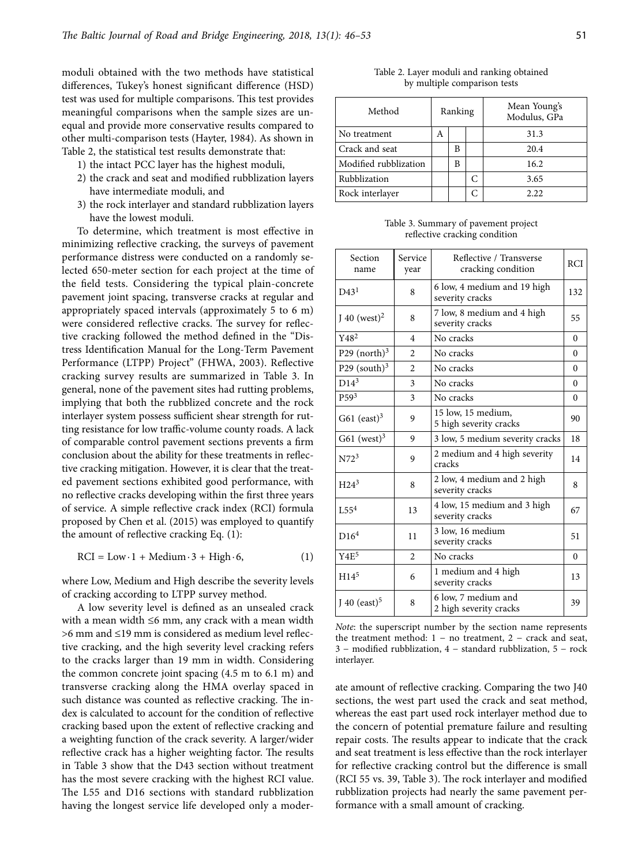moduli obtained with the two methods have statistical differences, Tukey's honest significant difference (HSD) test was used for multiple comparisons. This test provides meaningful comparisons when the sample sizes are unequal and provide more conservative results compared to other multi-comparison tests (Hayter, 1984). As shown in Table 2, the statistical test results demonstrate that:

- 1) the intact PCC layer has the highest moduli,
- 2) the crack and seat and modified rubblization layers have intermediate moduli, and
- 3) the rock interlayer and standard rubblization layers have the lowest moduli.

To determine, which treatment is most effective in minimizing reflective cracking, the surveys of pavement performance distress were conducted on a randomly selected 650-meter section for each project at the time of the field tests. Considering the typical plain-concrete pavement joint spacing, transverse cracks at regular and appropriately spaced intervals (approximately 5 to 6 m) were considered reflective cracks. The survey for reflective cracking followed the method defined in the "Distress Identification Manual for the Long-Term Pavement Performance (LTPP) Project" (FHWA, 2003). Reflective cracking survey results are summarized in Table 3. In general, none of the pavement sites had rutting problems, implying that both the rubblized concrete and the rock interlayer system possess sufficient shear strength for rutting resistance for low traffic-volume county roads. A lack of comparable control pavement sections prevents a firm conclusion about the ability for these treatments in reflective cracking mitigation. However, it is clear that the treated pavement sections exhibited good performance, with no reflective cracks developing within the first three years of service. A simple reflective crack index (RCI) formula proposed by Chen et al. (2015) was employed to quantify the amount of reflective cracking Eq. (1):

$$
RCI = Low \cdot 1 + Medium \cdot 3 + High \cdot 6,\tag{1}
$$

where Low, Medium and High describe the severity levels of cracking according to LTPP survey method.

A low severity level is defined as an unsealed crack with a mean width ≤6 mm, any crack with a mean width >6 mm and ≤19 mm is considered as medium level reflective cracking, and the high severity level cracking refers to the cracks larger than 19 mm in width. Considering the common concrete joint spacing (4.5 m to 6.1 m) and transverse cracking along the HMA overlay spaced in such distance was counted as reflective cracking. The index is calculated to account for the condition of reflective cracking based upon the extent of reflective cracking and a weighting function of the crack severity. A larger/wider reflective crack has a higher weighting factor. The results in Table 3 show that the D43 section without treatment has the most severe cracking with the highest RCI value. The L55 and D16 sections with standard rubblization having the longest service life developed only a moder-

Table 2. Layer moduli and ranking obtained by multiple comparison tests

| Method                | Ranking |   |   | Mean Young's<br>Modulus, GPa |  |
|-----------------------|---------|---|---|------------------------------|--|
| No treatment          | A       |   |   | 31.3                         |  |
| Crack and seat        |         | В |   | 20.4                         |  |
| Modified rubblization |         | В |   | 16.2                         |  |
| Rubblization          |         |   | C | 3.65                         |  |
| Rock interlayer       |         |   |   | 2.22                         |  |

Table 3. Summary of pavement project reflective cracking condition

| Section<br>name            | Service<br>year | Reflective / Transverse<br>cracking condition  | RCI      |
|----------------------------|-----------------|------------------------------------------------|----------|
| D43 <sup>1</sup>           | 8               | 6 low, 4 medium and 19 high<br>severity cracks | 132      |
| $I$ 40 (west) <sup>2</sup> | 8               | 7 low, 8 medium and 4 high<br>severity cracks  | 55       |
| Y48 <sup>2</sup>           | $\overline{4}$  | No cracks                                      | $\Omega$ |
| P29 $(north)3$             | $\overline{c}$  | No cracks                                      | $\Omega$ |
| P29 (south) $3$            | $\overline{2}$  | No cracks                                      | $\Omega$ |
| $D14^3$                    | 3               | No cracks                                      | $\Omega$ |
| P59 <sup>3</sup>           | 3               | No cracks                                      | $\Omega$ |
| G61 $(exst)^3$             | 9               | 15 low, 15 medium,<br>5 high severity cracks   | 90       |
| G61 (west) $3$             | 9               | 3 low, 5 medium severity cracks                | 18       |
| N72 <sup>3</sup>           | 9               | 2 medium and 4 high severity<br>cracks         | 14       |
| H24 <sup>3</sup>           | 8               | 2 low, 4 medium and 2 high<br>severity cracks  | 8        |
| 1.55 <sup>4</sup>          | 13              | 4 low, 15 medium and 3 high<br>severity cracks | 67       |
| D16 <sup>4</sup>           | 11              | 3 low, 16 medium<br>severity cracks            | 51       |
| Y4E <sup>5</sup>           | $\overline{2}$  | No cracks                                      | $\Omega$ |
| H14 <sup>5</sup>           | 6               | 1 medium and 4 high<br>severity cracks         | 13       |
| J 40 (east) $5$            | 8               | 6 low, 7 medium and<br>2 high severity cracks  | 39       |

*Note*: the superscript number by the section name represents the treatment method: 1 − no treatment, 2 − crack and seat, 3 − modified rubblization, 4 − standard rubblization, 5 − rock interlayer.

ate amount of reflective cracking. Comparing the two J40 sections, the west part used the crack and seat method, whereas the east part used rock interlayer method due to the concern of potential premature failure and resulting repair costs. The results appear to indicate that the crack and seat treatment is less effective than the rock interlayer for reflective cracking control but the difference is small (RCI 55 vs. 39, Table 3). The rock interlayer and modified rubblization projects had nearly the same pavement performance with a small amount of cracking.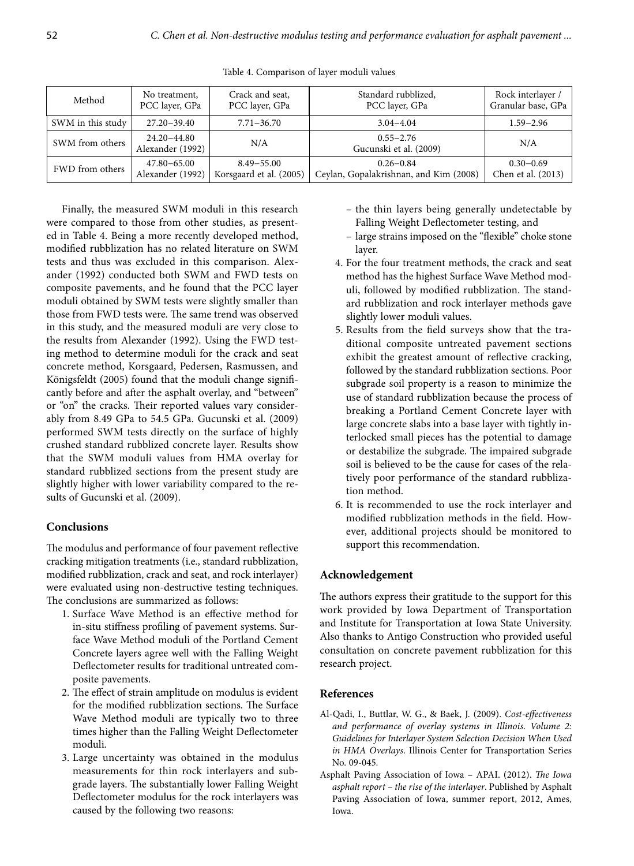| Method            | No treatment,                   | Crack and seat,         | Standard rubblized,                     | Rock interlayer /  |
|-------------------|---------------------------------|-------------------------|-----------------------------------------|--------------------|
|                   | PCC layer, GPa                  | PCC layer, GPa          | PCC layer, GPa                          | Granular base, GPa |
| SWM in this study | $27.20 - 39.40$                 | $7.71 - 36.70$          | $3.04 - 4.04$                           | $1.59 - 2.96$      |
| SWM from others   | 24.20–44.80<br>Alexander (1992) | N/A                     | $0.55 - 2.76$<br>Gucunski et al. (2009) | N/A                |
| FWD from others   | 47.80–65.00                     | $8.49 - 55.00$          | $0.26 - 0.84$                           | $0.30 - 0.69$      |
|                   | Alexander (1992)                | Korsgaard et al. (2005) | Ceylan, Gopalakrishnan, and Kim (2008)  | Chen et al. (2013) |

Table 4. Comparison of layer moduli values

Finally, the measured SWM moduli in this research were compared to those from other studies, as presented in Table 4. Being a more recently developed method, modified rubblization has no related literature on SWM tests and thus was excluded in this comparison. Alexander (1992) conducted both SWM and FWD tests on composite pavements, and he found that the PCC layer moduli obtained by SWM tests were slightly smaller than those from FWD tests were. The same trend was observed in this study, and the measured moduli are very close to the results from Alexander (1992). Using the FWD testing method to determine moduli for the crack and seat concrete method, Korsgaard, Pedersen, Rasmussen, and Königsfeldt (2005) found that the moduli change significantly before and after the asphalt overlay, and "between" or "on" the cracks. Their reported values vary considerably from 8.49 GPa to 54.5 GPa. Gucunski et al. (2009) performed SWM tests directly on the surface of highly crushed standard rubblized concrete layer. Results show that the SWM moduli values from HMA overlay for standard rubblized sections from the present study are slightly higher with lower variability compared to the results of Gucunski et al. (2009).

## **Conclusions**

The modulus and performance of four pavement reflective cracking mitigation treatments (i.e., standard rubblization, modified rubblization, crack and seat, and rock interlayer) were evaluated using non-destructive testing techniques. The conclusions are summarized as follows:

- 1. Surface Wave Method is an effective method for in-situ stiffness profiling of pavement systems. Surface Wave Method moduli of the Portland Cement Concrete layers agree well with the Falling Weight Deflectometer results for traditional untreated composite pavements.
- 2. The effect of strain amplitude on modulus is evident for the modified rubblization sections. The Surface Wave Method moduli are typically two to three times higher than the Falling Weight Deflectometer moduli.
- 3. Large uncertainty was obtained in the modulus measurements for thin rock interlayers and subgrade layers. The substantially lower Falling Weight Deflectometer modulus for the rock interlayers was caused by the following two reasons:
- the thin layers being generally undetectable by Falling Weight Deflectometer testing, and
- large strains imposed on the "flexible" choke stone layer.
- 4. For the four treatment methods, the crack and seat method has the highest Surface Wave Method moduli, followed by modified rubblization. The standard rubblization and rock interlayer methods gave slightly lower moduli values.
- 5. Results from the field surveys show that the traditional composite untreated pavement sections exhibit the greatest amount of reflective cracking, followed by the standard rubblization sections. Poor subgrade soil property is a reason to minimize the use of standard rubblization because the process of breaking a Portland Cement Concrete layer with large concrete slabs into a base layer with tightly interlocked small pieces has the potential to damage or destabilize the subgrade. The impaired subgrade soil is believed to be the cause for cases of the relatively poor performance of the standard rubblization method.
- 6. It is recommended to use the rock interlayer and modified rubblization methods in the field. However, additional projects should be monitored to support this recommendation.

### **Acknowledgement**

The authors express their gratitude to the support for this work provided by Iowa Department of Transportation and Institute for Transportation at Iowa State University. Also thanks to Antigo Construction who provided useful consultation on concrete pavement rubblization for this research project.

### **References**

- Al-Qadi, I., Buttlar, W. G., & Baek, J. (2009). *Cost-effectiveness and performance of overlay systems in Illinois. Volume 2: Guidelines for Interlayer System Selection Decision When Used in HMA Overlays*. Illinois Center for Transportation Series No. 09-045.
- Asphalt Paving Association of Iowa APAI. (2012). *The Iowa asphalt report – the rise of the interlayer*. Published by Asphalt Paving Association of Iowa, summer report, 2012, Ames, Iowa.